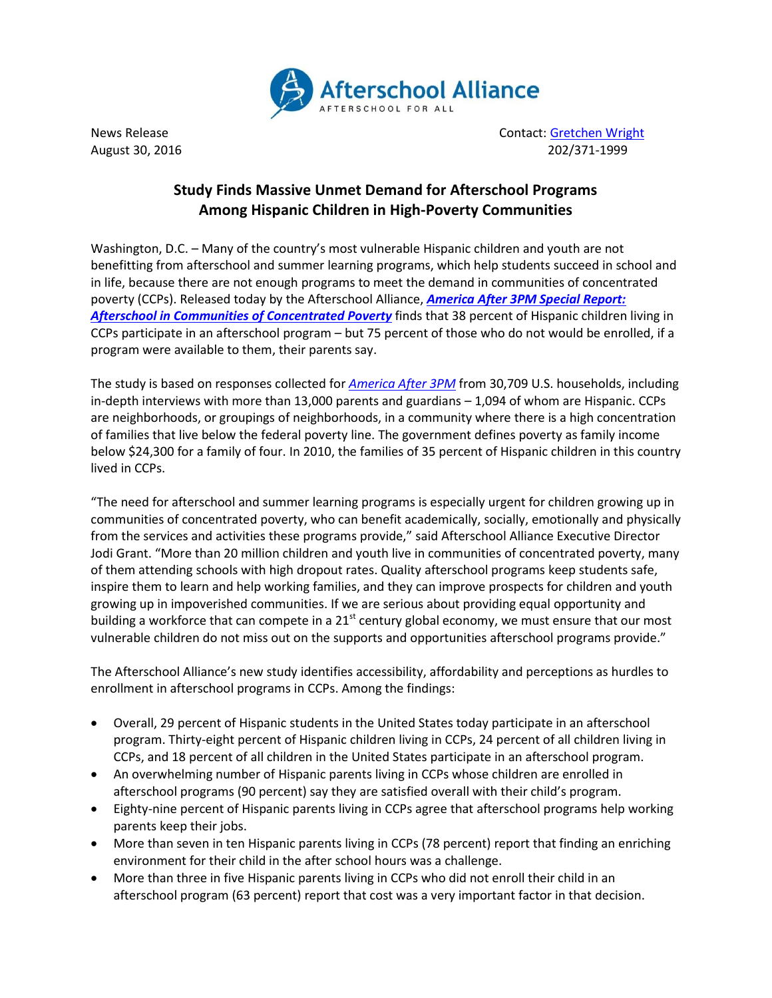

News Release **Contact: [Gretchen Wright](mailto:gretchen@prsolutionsdc.com)** Contact: Gretchen Wright August 30, 2016 202/371-1999

## **Study Finds Massive Unmet Demand for Afterschool Programs Among Hispanic Children in High-Poverty Communities**

Washington, D.C. – Many of the country's most vulnerable Hispanic children and youth are not benefitting from afterschool and summer learning programs, which help students succeed in school and in life, because there are not enough programs to meet the demand in communities of concentrated poverty (CCPs). Released today by the Afterschool Alliance, *[America After 3PM Special Report:](http://www.afterschoolalliance.org/AA3PM/Concentrated_Poverty.pdf) Afterschool in [Communities of Concentrated](http://www.afterschoolalliance.org/AA3PM/Concentrated_Poverty.pdf) Poverty* finds that 38 percent of Hispanic children living in CCPs participate in an afterschool program – but 75 percent of those who do not would be enrolled, if a program were available to them, their parents say.

The study is based on responses collected for *[America After 3PM](http://www.afterschoolalliance.org/AA3PM/)* from 30,709 U.S. households, including in-depth interviews with more than 13,000 parents and guardians – 1,094 of whom are Hispanic. CCPs are neighborhoods, or groupings of neighborhoods, in a community where there is a high concentration of families that live below the federal poverty line. The government defines poverty as family income below \$24,300 for a family of four. In 2010, the families of 35 percent of Hispanic children in this country lived in CCPs.

"The need for afterschool and summer learning programs is especially urgent for children growing up in communities of concentrated poverty, who can benefit academically, socially, emotionally and physically from the services and activities these programs provide," said Afterschool Alliance Executive Director Jodi Grant. "More than 20 million children and youth live in communities of concentrated poverty, many of them attending schools with high dropout rates. Quality afterschool programs keep students safe, inspire them to learn and help working families, and they can improve prospects for children and youth growing up in impoverished communities. If we are serious about providing equal opportunity and building a workforce that can compete in a  $21<sup>st</sup>$  century global economy, we must ensure that our most vulnerable children do not miss out on the supports and opportunities afterschool programs provide."

The Afterschool Alliance's new study identifies accessibility, affordability and perceptions as hurdles to enrollment in afterschool programs in CCPs. Among the findings:

- Overall, 29 percent of Hispanic students in the United States today participate in an afterschool program. Thirty-eight percent of Hispanic children living in CCPs, 24 percent of all children living in CCPs, and 18 percent of all children in the United States participate in an afterschool program.
- An overwhelming number of Hispanic parents living in CCPs whose children are enrolled in afterschool programs (90 percent) say they are satisfied overall with their child's program.
- Eighty-nine percent of Hispanic parents living in CCPs agree that afterschool programs help working parents keep their jobs.
- More than seven in ten Hispanic parents living in CCPs (78 percent) report that finding an enriching environment for their child in the after school hours was a challenge.
- More than three in five Hispanic parents living in CCPs who did not enroll their child in an afterschool program (63 percent) report that cost was a very important factor in that decision.